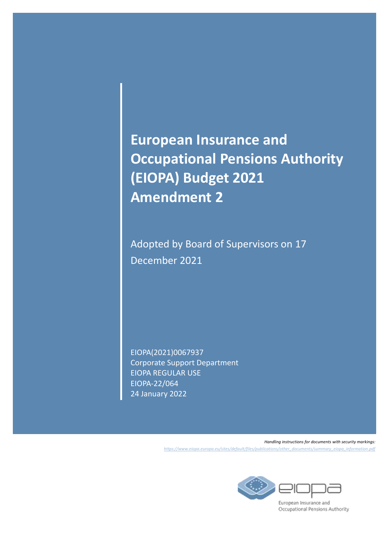**European Insurance and Occupational Pensions Authority (EIOPA) Budget 2021 Amendment 2**

Adopted by Board of Supervisors on 17 December 2021

EIOPA(2021)0067937 Corporate Support Department EIOPA REGULAR USE EIOPA-22/064 24 January 2022

> *Handling instructions for documents with security markings: [https://www.eiopa.europa.eu/sites/default/files/publications/other\\_documents/summary\\_eiopa\\_information.pdf](https://www.eiopa.europa.eu/sites/default/files/publications/other_documents/summary_eiopa_information.pdf)*



European Insurance and Occupational Pensions Authority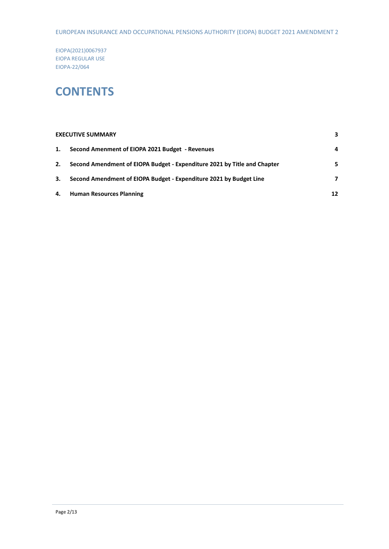EUROPEAN INSURANCE AND OCCUPATIONAL PENSIONS AUTHORITY (EIOPA) BUDGET 2021 AMENDMENT 2

EIOPA(2021)0067937 EIOPA REGULAR USE EIOPA-22/064

### **CONTENTS**

|    | <b>EXECUTIVE SUMMARY</b>                                                 | 3  |
|----|--------------------------------------------------------------------------|----|
| 1. | Second Amenment of EIOPA 2021 Budget - Revenues                          | 4  |
| 2. | Second Amendment of EIOPA Budget - Expenditure 2021 by Title and Chapter | 5  |
| 3. | Second Amendment of EIOPA Budget - Expenditure 2021 by Budget Line       | 7  |
| 4. | <b>Human Resources Planning</b>                                          | 12 |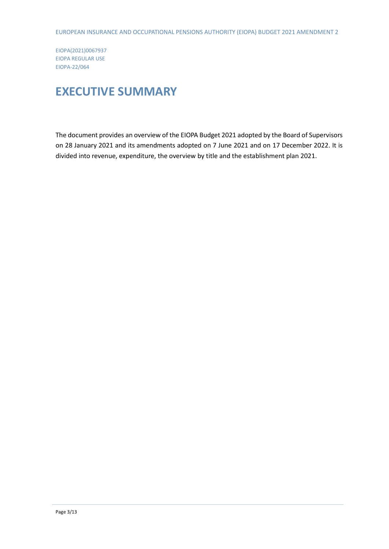### <span id="page-2-0"></span>**EXECUTIVE SUMMARY**

The document provides an overview of the EIOPA Budget 2021 adopted by the Board of Supervisors on 28 January 2021 and its amendments adopted on 7 June 2021 and on 17 December 2022. It is divided into revenue, expenditure, the overview by title and the establishment plan 2021.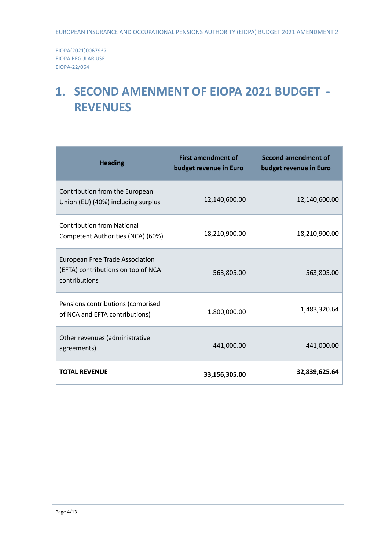## <span id="page-3-0"></span>**1. SECOND AMENMENT OF EIOPA 2021 BUDGET - REVENUES**

| <b>Heading</b>                                                                                | <b>First amendment of</b><br>budget revenue in Euro | <b>Second amendment of</b><br>budget revenue in Euro |
|-----------------------------------------------------------------------------------------------|-----------------------------------------------------|------------------------------------------------------|
| Contribution from the European<br>Union (EU) (40%) including surplus                          | 12,140,600.00                                       | 12,140,600.00                                        |
| <b>Contribution from National</b><br>Competent Authorities (NCA) (60%)                        | 18,210,900.00                                       | 18,210,900.00                                        |
| <b>European Free Trade Association</b><br>(EFTA) contributions on top of NCA<br>contributions | 563,805.00                                          | 563,805.00                                           |
| Pensions contributions (comprised<br>of NCA and EFTA contributions)                           | 1,800,000.00                                        | 1,483,320.64                                         |
| Other revenues (administrative<br>agreements)                                                 | 441,000.00                                          | 441,000.00                                           |
| <b>TOTAL REVENUE</b>                                                                          | 33,156,305.00                                       | 32,839,625.64                                        |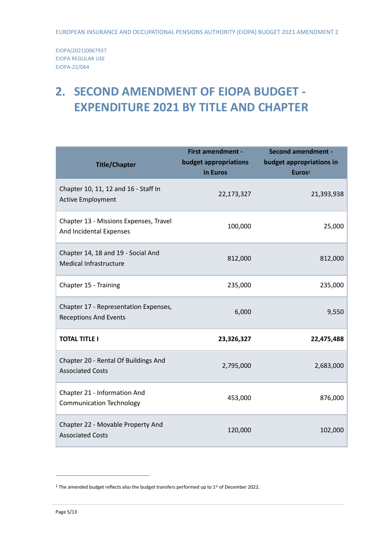# <span id="page-4-0"></span>**2. SECOND AMENDMENT OF EIOPA BUDGET - EXPENDITURE 2021 BY TITLE AND CHAPTER**

| <b>Title/Chapter</b>                                                  | <b>First amendment -</b><br>budget appropriations<br>in Euros | <b>Second amendment -</b><br>budget appropriations in<br>Euros <sup>1</sup> |
|-----------------------------------------------------------------------|---------------------------------------------------------------|-----------------------------------------------------------------------------|
| Chapter 10, 11, 12 and 16 - Staff In<br><b>Active Employment</b>      | 22,173,327                                                    | 21,393,938                                                                  |
| Chapter 13 - Missions Expenses, Travel<br>And Incidental Expenses     | 100,000                                                       | 25,000                                                                      |
| Chapter 14, 18 and 19 - Social And<br>Medical Infrastructure          | 812,000                                                       | 812,000                                                                     |
| Chapter 15 - Training                                                 | 235,000                                                       | 235,000                                                                     |
| Chapter 17 - Representation Expenses,<br><b>Receptions And Events</b> | 6,000                                                         | 9,550                                                                       |
| <b>TOTAL TITLE I</b>                                                  | 23,326,327                                                    | 22,475,488                                                                  |
| Chapter 20 - Rental Of Buildings And<br><b>Associated Costs</b>       | 2,795,000                                                     | 2,683,000                                                                   |
| Chapter 21 - Information And<br><b>Communication Technology</b>       | 453,000                                                       | 876,000                                                                     |
| Chapter 22 - Movable Property And<br><b>Associated Costs</b>          | 120,000                                                       | 102,000                                                                     |

1

<sup>&</sup>lt;sup>1</sup> The amended budget reflects also the budget transfers performed up to  $1<sup>st</sup>$  of December 2022.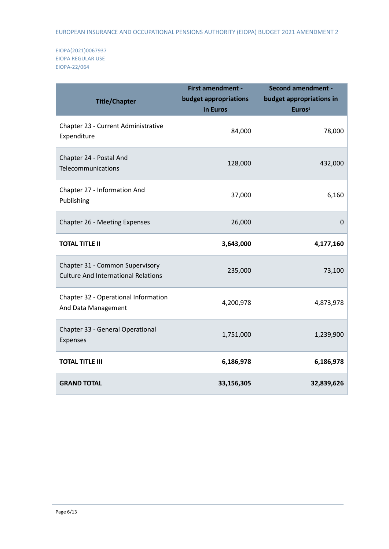| <b>Title/Chapter</b>                                                          | First amendment -<br>budget appropriations<br>in Euros | <b>Second amendment -</b><br>budget appropriations in<br>Euros <sup>1</sup> |
|-------------------------------------------------------------------------------|--------------------------------------------------------|-----------------------------------------------------------------------------|
| Chapter 23 - Current Administrative<br>Expenditure                            | 84,000                                                 | 78,000                                                                      |
| Chapter 24 - Postal And<br>Telecommunications                                 | 128,000                                                | 432,000                                                                     |
| Chapter 27 - Information And<br>Publishing                                    | 37,000                                                 | 6,160                                                                       |
| Chapter 26 - Meeting Expenses                                                 | 26,000                                                 | 0                                                                           |
| <b>TOTAL TITLE II</b>                                                         | 3,643,000                                              | 4,177,160                                                                   |
| Chapter 31 - Common Supervisory<br><b>Culture And International Relations</b> | 235,000                                                | 73,100                                                                      |
| Chapter 32 - Operational Information<br>And Data Management                   | 4,200,978                                              | 4,873,978                                                                   |
| Chapter 33 - General Operational<br>Expenses                                  | 1,751,000                                              | 1,239,900                                                                   |
| <b>TOTAL TITLE III</b>                                                        | 6,186,978                                              | 6,186,978                                                                   |
| <b>GRAND TOTAL</b>                                                            | 33,156,305                                             | 32,839,626                                                                  |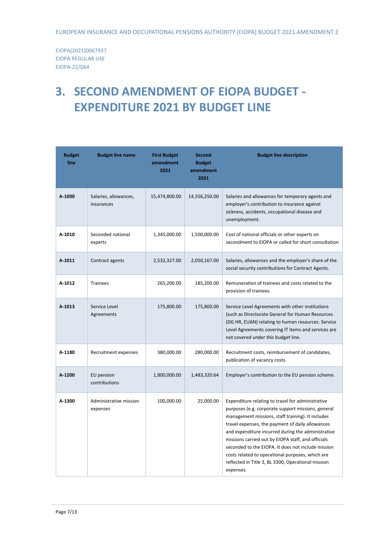# <span id="page-6-0"></span>**3. SECOND AMENDMENT OF EIOPA BUDGET - EXPENDITURE 2021 BY BUDGET LINE**

| <b>Budget</b><br>line | <b>Budget line name</b>             | <b>First Budget</b><br>amendment<br>2021 | <b>Second</b><br><b>Budget</b><br>amendment<br>2021 | <b>Budget line description</b>                                                                                                                                                                                                                                                                                                                                                                                                                                                                            |  |
|-----------------------|-------------------------------------|------------------------------------------|-----------------------------------------------------|-----------------------------------------------------------------------------------------------------------------------------------------------------------------------------------------------------------------------------------------------------------------------------------------------------------------------------------------------------------------------------------------------------------------------------------------------------------------------------------------------------------|--|
| A-1000                | Salaries, allowances,<br>insurances | 15,474,800.00                            | 14,556,250.00                                       | Salaries and allowances for temporary agents and<br>employer's contribution to insurance against<br>sickness, accidents, occupational disease and<br>unemployment.                                                                                                                                                                                                                                                                                                                                        |  |
| A-1010                | Seconded national<br>experts        | 1,345,000.00                             | 1,500,000.00                                        | Cost of national officials or other experts on<br>secondment to EIOPA or called for short consultation                                                                                                                                                                                                                                                                                                                                                                                                    |  |
| A-1011                | Contract agents                     | 2,532,327.00                             | 2,050,167.00                                        | Salaries, allowances and the employer's share of the<br>social security contributions for Contract Agents.                                                                                                                                                                                                                                                                                                                                                                                                |  |
| A-1012                | <b>Trainees</b>                     | 265,200.00                               | 185,200.00                                          | Remuneration of trainees and costs related to the<br>provision of trainees.                                                                                                                                                                                                                                                                                                                                                                                                                               |  |
| A-1013                | Service Level<br>Agreements         | 175,800.00                               | 175,800.00                                          | Service Level Agreements with other institutions<br>(such as Directorate General for Human Resources<br>(DG HR, EUAN) relating to human resources. Service<br>Level Agreements covering IT items and services are<br>not covered under this budget line.                                                                                                                                                                                                                                                  |  |
| A-1180                | Recruitment expenses                | 380,000.00                               | 280,000.00                                          | Recruitment costs, reimbursement of candidates,<br>publication of vacancy costs.                                                                                                                                                                                                                                                                                                                                                                                                                          |  |
| A-1200                | EU pension<br>contributions         | 1,800,000.00                             | 1,483,320.64                                        | Employer's contribution to the EU pension scheme.                                                                                                                                                                                                                                                                                                                                                                                                                                                         |  |
| A-1300                | Administrative mission<br>expenses  | 100,000.00                               | 25,000.00                                           | Expenditure relating to travel for administrative<br>purposes (e.g. corporate support missions, general<br>management missions, staff training). It includes<br>travel expenses, the payment of daily allowances<br>and expenditure incurred during the administrative<br>missions carried out by EIOPA staff, and officials<br>seconded to the EIOPA. It does not include mission<br>costs related to operational purposes, which are<br>reflected in Title 3, BL 3300, Operational mission<br>expenses. |  |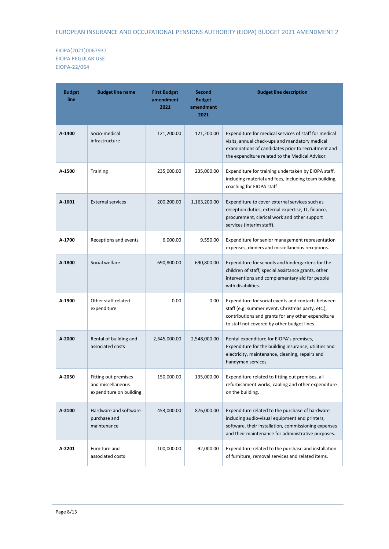| <b>Budget</b><br>line | <b>Budget line name</b>                                              | <b>First Budget</b><br>amendment<br>2021 | <b>Second</b><br><b>Budget</b><br>amendment<br>2021 | <b>Budget line description</b>                                                                                                                                                                                    |  |
|-----------------------|----------------------------------------------------------------------|------------------------------------------|-----------------------------------------------------|-------------------------------------------------------------------------------------------------------------------------------------------------------------------------------------------------------------------|--|
| A-1400                | Socio-medical<br>infrastructure                                      | 121,200.00                               | 121,200.00                                          | Expenditure for medical services of staff for medical<br>visits, annual check-ups and mandatory medical<br>examinations of candidates prior to recruitment and<br>the expenditure related to the Medical Advisor. |  |
| A-1500                | <b>Training</b>                                                      | 235,000.00                               | 235,000.00                                          | Expenditure for training undertaken by EIOPA staff,<br>including material and fees, including team building,<br>coaching for EIOPA staff                                                                          |  |
| $A - 1601$            | <b>External services</b>                                             | 200,200.00                               | 1,163,200.00                                        | Expenditure to cover external services such as<br>reception duties, external expertise, IT, finance,<br>procurement, clerical work and other support<br>services (interim staff).                                 |  |
| A-1700                | Receptions and events                                                | 6,000.00                                 | 9,550.00                                            | Expenditure for senior management representation<br>expenses, dinners and miscellaneous receptions.                                                                                                               |  |
| A-1800                | Social welfare                                                       | 690,800.00                               | 690,800.00                                          | Expenditure for schools and kindergartens for the<br>children of staff; special assistance grants, other<br>interventions and complementary aid for people<br>with disabilities.                                  |  |
| A-1900                | Other staff related<br>expenditure                                   | 0.00                                     | 0.00                                                | Expenditure for social events and contacts between<br>staff (e.g. summer event, Christmas party, etc.),<br>contributions and grants for any other expenditure<br>to staff not covered by other budget lines.      |  |
| $A - 2000$            | Rental of building and<br>associated costs                           | 2,645,000.00                             | 2,548,000.00                                        | Rental expenditure for EIOPA's premises,<br>Expenditure for the building insurance, utilities and<br>electricity, maintenance, cleaning, repairs and<br>handyman services.                                        |  |
| A-2050                | Fitting out premises<br>and miscellaneous<br>expenditure on building | 150,000.00                               | 135,000.00                                          | Expenditure related to fitting out premises, all<br>refurbishment works, cabling and other expenditure<br>on the building.                                                                                        |  |
| A-2100                | Hardware and software<br>purchase and<br>maintenance                 | 453,000.00                               | 876,000.00                                          | Expenditure related to the purchase of hardware<br>including audio-visual equipment and printers,<br>software, their installation, commissioning expenses<br>and their maintenance for administrative purposes.   |  |
| A-2201                | Furniture and<br>associated costs                                    | 100,000.00                               | 92,000.00                                           | Expenditure related to the purchase and installation<br>of furniture, removal services and related items.                                                                                                         |  |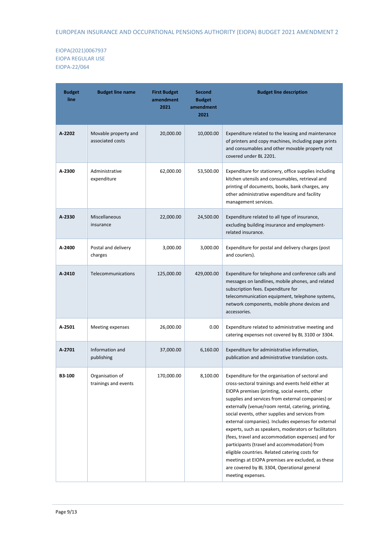| <b>Budget</b><br>line | <b>Budget line name</b>                  | <b>First Budget</b><br>amendment<br>2021 | <b>Second</b><br><b>Budget</b><br>amendment<br>2021 | <b>Budget line description</b>                                                                                                                                                                                                                                                                                                                                                                                                                                                                                                                                                                                                                                                                                         |  |
|-----------------------|------------------------------------------|------------------------------------------|-----------------------------------------------------|------------------------------------------------------------------------------------------------------------------------------------------------------------------------------------------------------------------------------------------------------------------------------------------------------------------------------------------------------------------------------------------------------------------------------------------------------------------------------------------------------------------------------------------------------------------------------------------------------------------------------------------------------------------------------------------------------------------------|--|
| A-2202                | Movable property and<br>associated costs | 20,000.00                                | 10,000.00                                           | Expenditure related to the leasing and maintenance<br>of printers and copy machines, including page prints<br>and consumables and other movable property not<br>covered under BL 2201.                                                                                                                                                                                                                                                                                                                                                                                                                                                                                                                                 |  |
| A-2300                | Administrative<br>expenditure            | 62,000.00                                | 53,500.00                                           | Expenditure for stationery, office supplies including<br>kitchen utensils and consumables, retrieval and<br>printing of documents, books, bank charges, any<br>other administrative expenditure and facility<br>management services.                                                                                                                                                                                                                                                                                                                                                                                                                                                                                   |  |
| A-2330                | Miscellaneous<br>insurance               | 22,000.00                                | 24,500.00                                           | Expenditure related to all type of insurance,<br>excluding building insurance and employment-<br>related insurance.                                                                                                                                                                                                                                                                                                                                                                                                                                                                                                                                                                                                    |  |
| A-2400                | Postal and delivery<br>charges           | 3,000.00                                 | 3,000.00                                            | Expenditure for postal and delivery charges (post<br>and couriers).                                                                                                                                                                                                                                                                                                                                                                                                                                                                                                                                                                                                                                                    |  |
| A-2410                | Telecommunications                       | 125,000.00                               | 429,000.00                                          | Expenditure for telephone and conference calls and<br>messages on landlines, mobile phones, and related<br>subscription fees. Expenditure for<br>telecommunication equipment, telephone systems,<br>network components, mobile phone devices and<br>accessories.                                                                                                                                                                                                                                                                                                                                                                                                                                                       |  |
| A-2501                | Meeting expenses                         | 26,000.00                                | 0.00                                                | Expenditure related to administrative meeting and<br>catering expenses not covered by BL 3100 or 3304.                                                                                                                                                                                                                                                                                                                                                                                                                                                                                                                                                                                                                 |  |
| A-2701                | Information and<br>publishing            | 37,000.00                                | 6,160.00                                            | Expenditure for administrative information,<br>publication and administrative translation costs.                                                                                                                                                                                                                                                                                                                                                                                                                                                                                                                                                                                                                       |  |
| B3-100                | Organisation of<br>trainings and events  | 170,000.00                               | 8,100.00                                            | Expenditure for the organisation of sectoral and<br>cross-sectoral trainings and events held either at<br>EIOPA premises (printing, social events, other<br>supplies and services from external companies) or<br>externally (venue/room rental, catering, printing,<br>social events, other supplies and services from<br>external companies). Includes expenses for external<br>experts, such as speakers, moderators or facilitators<br>(fees, travel and accommodation expenses) and for<br>participants (travel and accommodation) from<br>eligible countries. Related catering costs for<br>meetings at EIOPA premises are excluded, as these<br>are covered by BL 3304, Operational general<br>meeting expenses. |  |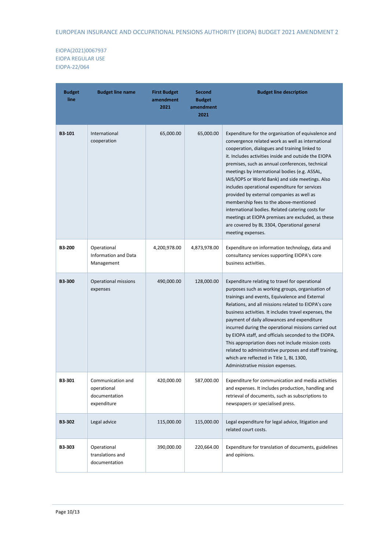| <b>Budget</b><br>line | <b>Budget line name</b>                                          | <b>First Budget</b><br>amendment<br>2021 | <b>Second</b><br><b>Budget</b><br>amendment<br>2021 | <b>Budget line description</b>                                                                                                                                                                                                                                                                                                                                                                                                                                                                                                                                                                                                                                                                 |
|-----------------------|------------------------------------------------------------------|------------------------------------------|-----------------------------------------------------|------------------------------------------------------------------------------------------------------------------------------------------------------------------------------------------------------------------------------------------------------------------------------------------------------------------------------------------------------------------------------------------------------------------------------------------------------------------------------------------------------------------------------------------------------------------------------------------------------------------------------------------------------------------------------------------------|
| B3-101                | International<br>cooperation                                     | 65,000.00                                | 65,000.00                                           | Expenditure for the organisation of equivalence and<br>convergence related work as well as international<br>cooperation, dialogues and training linked to<br>it. Includes activities inside and outside the EIOPA<br>premises, such as annual conferences, technical<br>meetings by international bodies (e.g. ASSAL,<br>IAIS/IOPS or World Bank) and side meetings. Also<br>includes operational expenditure for services<br>provided by external companies as well as<br>membership fees to the above-mentioned<br>international bodies. Related catering costs for<br>meetings at EIOPA premises are excluded, as these<br>are covered by BL 3304, Operational general<br>meeting expenses. |
| <b>B3-200</b>         | Operational<br>Information and Data<br>Management                | 4,200,978.00                             | 4,873,978.00                                        | Expenditure on information technology, data and<br>consultancy services supporting EIOPA's core<br>business activities.                                                                                                                                                                                                                                                                                                                                                                                                                                                                                                                                                                        |
| <b>B3-300</b>         | Operational missions<br>expenses                                 | 490,000.00                               | 128,000.00                                          | Expenditure relating to travel for operational<br>purposes such as working groups, organisation of<br>trainings and events, Equivalence and External<br>Relations, and all missions related to EIOPA's core<br>business activities. It includes travel expenses, the<br>payment of daily allowances and expenditure<br>incurred during the operational missions carried out<br>by EIOPA staff, and officials seconded to the EIOPA.<br>This appropriation does not include mission costs<br>related to administrative purposes and staff training,<br>which are reflected in Title 1, BL 1300,<br>Administrative mission expenses.                                                             |
| B3-301                | Communication and<br>operational<br>documentation<br>expenditure | 420,000.00                               | 587,000.00                                          | Expenditure for communication and media activities<br>and expenses. It includes production, handling and<br>retrieval of documents, such as subscriptions to<br>newspapers or specialised press.                                                                                                                                                                                                                                                                                                                                                                                                                                                                                               |
| B3-302                | Legal advice                                                     | 115,000.00                               | 115,000.00                                          | Legal expenditure for legal advice, litigation and<br>related court costs.                                                                                                                                                                                                                                                                                                                                                                                                                                                                                                                                                                                                                     |
| B3-303                | Operational<br>translations and<br>documentation                 | 390,000.00                               | 220,664.00                                          | Expenditure for translation of documents, guidelines<br>and opinions.                                                                                                                                                                                                                                                                                                                                                                                                                                                                                                                                                                                                                          |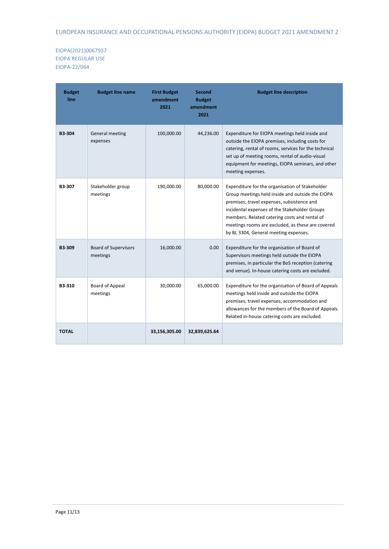| <b>Budget</b><br>line | <b>Budget line name</b>                 | <b>First Budget</b><br>amendment<br>2021 | Second<br><b>Budget</b><br>amendment<br>2021 | <b>Budget line description</b>                                                                                                                                                                                                                                                                                                                    |
|-----------------------|-----------------------------------------|------------------------------------------|----------------------------------------------|---------------------------------------------------------------------------------------------------------------------------------------------------------------------------------------------------------------------------------------------------------------------------------------------------------------------------------------------------|
| <b>B3-304</b>         | General meeting<br>expenses             | 100,000.00                               | 44,236.00                                    | Expenditure for EIOPA meetings held inside and<br>outside the EIOPA premises, including costs for<br>catering, rental of rooms, services for the technical<br>set up of meeting rooms, rental of audio-visual<br>equipment for meetings, EIOPA seminars, and other<br>meeting expenses.                                                           |
| B3-307                | Stakeholder group<br>meetings           | 190,000.00                               | 80,000.00                                    | Expenditure for the organisation of Stakeholder<br>Group meetings held inside and outside the EIOPA<br>premises; travel expenses, subsistence and<br>incidental expenses of the Stakeholder Groups<br>members. Related catering costs and rental of<br>meetings rooms are excluded, as these are covered<br>by BL 3304, General meeting expenses. |
| <b>B3-309</b>         | <b>Board of Supervisors</b><br>meetings | 16,000.00                                | 0.00                                         | Expenditure for the organisation of Board of<br>Supervisors meetings held outside the EIOPA<br>premises, in particular the BoS reception (catering<br>and venue). In-house catering costs are excluded.                                                                                                                                           |
| B3-310                | Board of Appeal<br>meetings             | 30,000.00                                | 65,000.00                                    | Expenditure for the organisation of Board of Appeals<br>meetings held inside and outside the EIOPA<br>premises; travel expenses, accommodation and<br>allowances for the members of the Board of Appeals.<br>Related in-house catering costs are excluded.                                                                                        |
| <b>TOTAL</b>          |                                         | 33,156,305.00                            | 32,839,625.64                                |                                                                                                                                                                                                                                                                                                                                                   |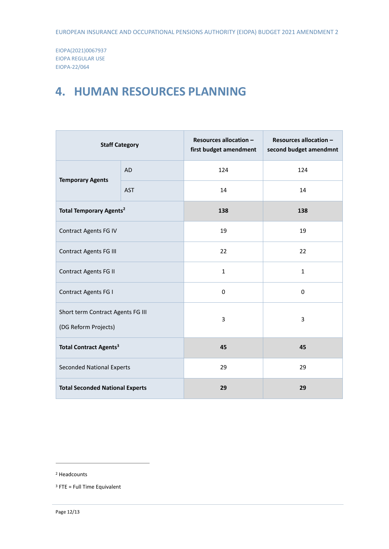## <span id="page-11-0"></span>**4. HUMAN RESOURCES PLANNING**

| <b>Staff Category</b>                                     |            | Resources allocation -<br>first budget amendment | Resources allocation -<br>second budget amendmnt |
|-----------------------------------------------------------|------------|--------------------------------------------------|--------------------------------------------------|
| <b>AD</b><br><b>Temporary Agents</b>                      |            | 124                                              | 124                                              |
|                                                           | <b>AST</b> | 14                                               | 14                                               |
| <b>Total Temporary Agents<sup>2</sup></b>                 |            | 138                                              | 138                                              |
| Contract Agents FG IV                                     |            | 19                                               | 19                                               |
| <b>Contract Agents FG III</b>                             |            | 22                                               | 22                                               |
| <b>Contract Agents FG II</b>                              |            | $\mathbf{1}$                                     | $\mathbf{1}$                                     |
| <b>Contract Agents FG I</b>                               |            | $\Omega$                                         | 0                                                |
| Short term Contract Agents FG III<br>(DG Reform Projects) |            | $\overline{3}$                                   | 3                                                |
| <b>Total Contract Agents<sup>3</sup></b>                  |            | 45                                               | 45                                               |
| <b>Seconded National Experts</b>                          |            | 29                                               | 29                                               |
| <b>Total Seconded National Experts</b>                    |            | 29                                               | 29                                               |

1

<sup>2</sup> Headcounts

 $3$  FTE = Full Time Equivalent